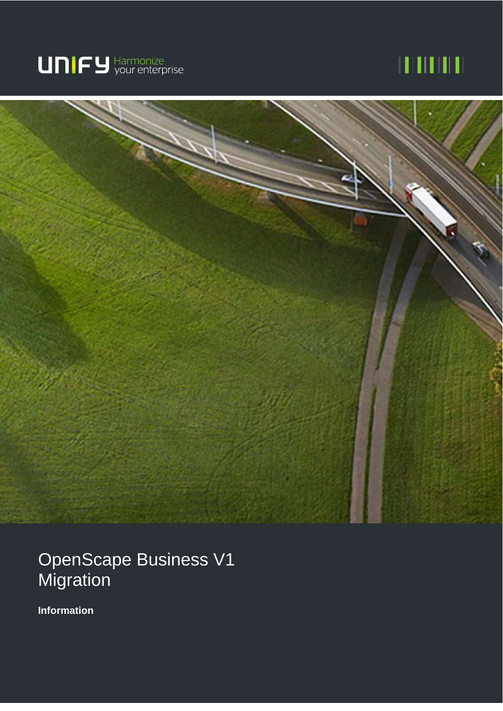

# шшш



OpenScape Business V1 **Migration** 

**Information**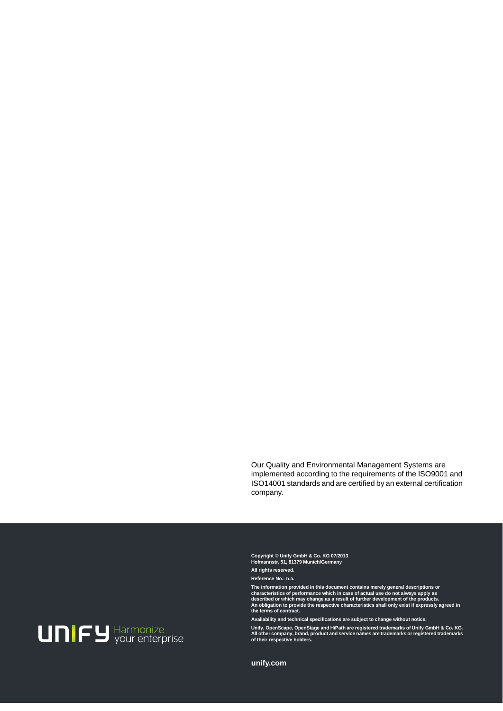Our Quality and Environmental Management Systems are implemented according to the requirements of the ISO9001 and ISO14001 standards and are certified by an external certification company.

**Copyright © Unify GmbH & Co. KG 07/2013 Hofmannstr. 51, 81379 Munich/Germany** 

**All rights reserved.** 

**Reference No.: n.a.** 

**The information provided in this document contains merely general descriptions or characteristics of performance which in case of actual use do not always apply as described or which may change as a result of further development of the products. An obligation to provide the respective characteristics shall only exist if expressly agreed in the terms of contract.** 

**Availability and technical specifications are subject to change without notice. Unify, OpenScape, OpenStage and HiPath are registered trademarks of Unify GmbH & Co. KG. All other company, brand, product and service names are trademarks or registered trademarks of their respective holders.** 



**unify.com**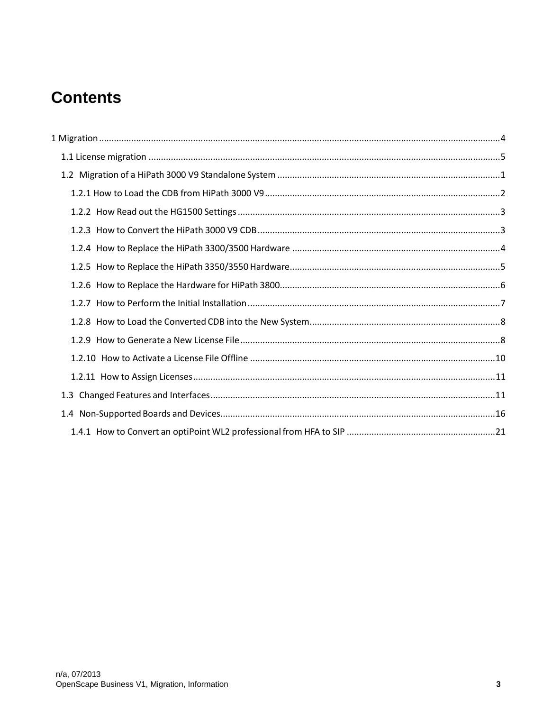## **Contents**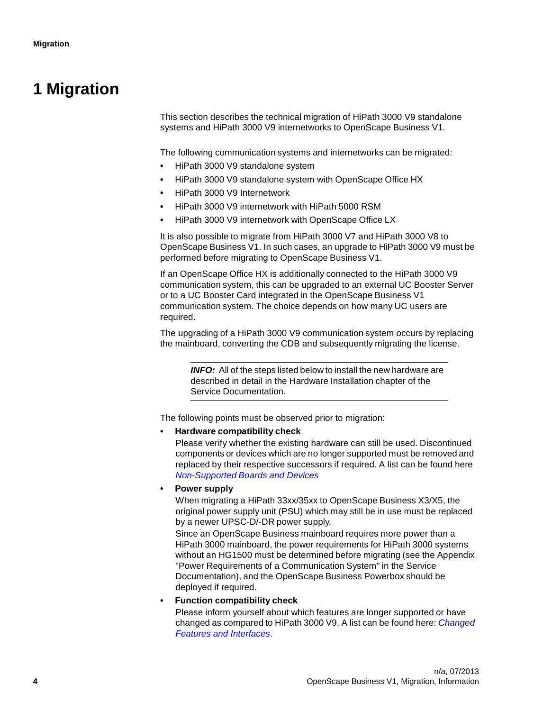## **1 Migration**

This section describes the technical migration of HiPath 3000 V9 standalone systems and HiPath 3000 V9 internetworks to OpenScape Business V1.

The following communication systems and internetworks can be migrated:

- HiPath 3000 V9 standalone system
- HiPath 3000 V9 standalone system with OpenScape Office HX
- HiPath 3000 V9 Internetwork
- HiPath 3000 V9 internetwork with HiPath 5000 RSM
- HiPath 3000 V9 internetwork with OpenScape Office LX

It is also possible to migrate from HiPath 3000 V7 and HiPath 3000 V8 to OpenScape Business V1. In such cases, an upgrade to HiPath 3000 V9 must be performed before migrating to OpenScape Business V1.

If an OpenScape Office HX is additionally connected to the HiPath 3000 V9 communication system, this can be upgraded to an external UC Booster Server or to a UC Booster Card integrated in the OpenScape Business V1 communication system. The choice depends on how many UC users are required.

The upgrading of a HiPath 3000 V9 communication system occurs by replacing the mainboard, converting the CDB and subsequently migrating the license.

**INFO:** All of the steps listed below to install the new hardware are described in detail in the Hardware Installation chapter of the Service Documentation.

The following points must be observed prior to migration:

#### **• Hardware compatibility check**

Please verify whether the existing hardware can still be used. Discontinued components or devices which are no longer supported must be removed and replaced by their respective successors if required. A list can be found here Non-Supported Boards and Devices

#### **• Power supply**

When migrating a HiPath 33xx/35xx to OpenScape Business X3/X5, the original power supply unit (PSU) which may still be in use must be replaced by a newer UPSC-D/-DR power supply.

Since an OpenScape Business mainboard requires more power than a HiPath 3000 mainboard, the power requirements for HiPath 3000 systems without an HG1500 must be determined before migrating (see the Appendix "Power Requirements of a Communication System" in the Service Documentation), and the OpenScape Business Powerbox should be deployed if required.

#### **• Function compatibility check**

Please inform yourself about which features are longer supported or have changed as compared to HiPath 3000 V9. A list can be found here: Changed Features and Interfaces.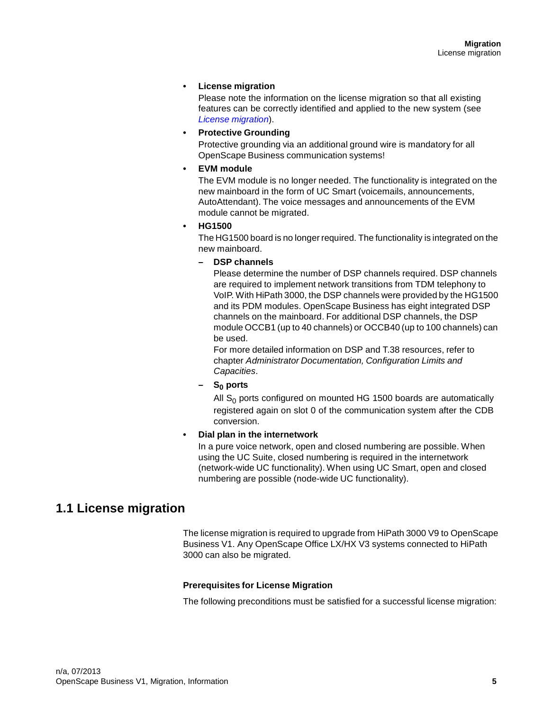#### **• License migration**

Please note the information on the license migration so that all existing features can be correctly identified and applied to the new system (see License migration).

#### **• Protective Grounding**

Protective grounding via an additional ground wire is mandatory for all OpenScape Business communication systems!

#### **• EVM module**

The EVM module is no longer needed. The functionality is integrated on the new mainboard in the form of UC Smart (voicemails, announcements, AutoAttendant). The voice messages and announcements of the EVM module cannot be migrated.

#### **• HG1500**

The HG1500 board is no longer required. The functionality is integrated on the new mainboard.

#### **– DSP channels**

Please determine the number of DSP channels required. DSP channels are required to implement network transitions from TDM telephony to VoIP. With HiPath 3000, the DSP channels were provided by the HG1500 and its PDM modules. OpenScape Business has eight integrated DSP channels on the mainboard. For additional DSP channels, the DSP module OCCB1 (up to 40 channels) or OCCB40 (up to 100 channels) can be used.

For more detailed information on DSP and T.38 resources, refer to chapter Administrator Documentation, Configuration Limits and Capacities.

#### **– S0 ports**

All  $S_0$  ports configured on mounted HG 1500 boards are automatically registered again on slot 0 of the communication system after the CDB conversion.

#### **• Dial plan in the internetwork**

In a pure voice network, open and closed numbering are possible. When using the UC Suite, closed numbering is required in the internetwork (network-wide UC functionality). When using UC Smart, open and closed numbering are possible (node-wide UC functionality).

### **1.1 License migration**

The license migration is required to upgrade from HiPath 3000 V9 to OpenScape Business V1. Any OpenScape Office LX/HX V3 systems connected to HiPath 3000 can also be migrated.

#### **Prerequisites for License Migration**

The following preconditions must be satisfied for a successful license migration: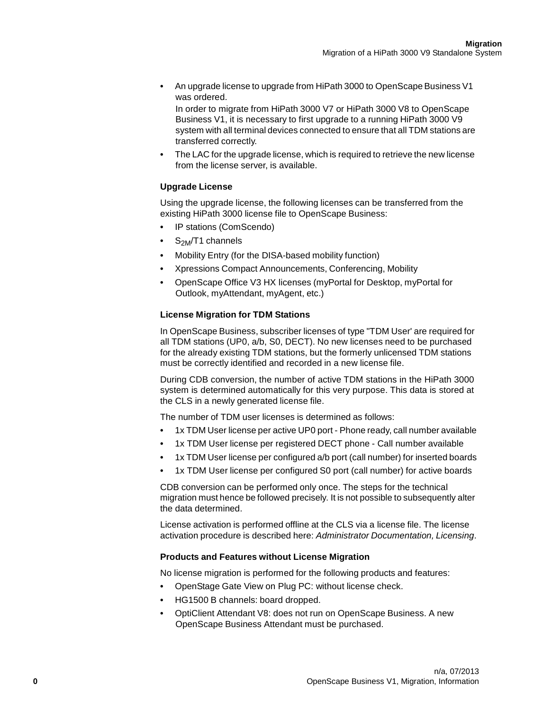**•** An upgrade license to upgrade from HiPath 3000 to OpenScape Business V1 was ordered.

In order to migrate from HiPath 3000 V7 or HiPath 3000 V8 to OpenScape Business V1, it is necessary to first upgrade to a running HiPath 3000 V9 system with all terminal devices connected to ensure that all TDM stations are transferred correctly.

**•** The LAC for the upgrade license, which is required to retrieve the new license from the license server, is available.

#### **Upgrade License**

Using the upgrade license, the following licenses can be transferred from the existing HiPath 3000 license file to OpenScape Business:

- IP stations (ComScendo)
- $\bullet$   $\rm S_{2M}/T1$  channels
- Mobility Entry (for the DISA-based mobility function)
- Xpressions Compact Announcements, Conferencing, Mobility
- OpenScape Office V3 HX licenses (myPortal for Desktop, myPortal for Outlook, myAttendant, myAgent, etc.)

#### **License Migration for TDM Stations**

In OpenScape Business, subscriber licenses of type "TDM User' are required for all TDM stations (UP0, a/b, S0, DECT). No new licenses need to be purchased for the already existing TDM stations, but the formerly unlicensed TDM stations must be correctly identified and recorded in a new license file.

During CDB conversion, the number of active TDM stations in the HiPath 3000 system is determined automatically for this very purpose. This data is stored at the CLS in a newly generated license file.

The number of TDM user licenses is determined as follows:

- 1x TDM User license per active UP0 port Phone ready, call number available
- 1x TDM User license per registered DECT phone Call number available
- 1x TDM User license per configured a/b port (call number) for inserted boards
- 1x TDM User license per configured S0 port (call number) for active boards

CDB conversion can be performed only once. The steps for the technical migration must hence be followed precisely. It is not possible to subsequently alter the data determined.

License activation is performed offline at the CLS via a license file. The license activation procedure is described here: Administrator Documentation, Licensing.

#### **Products and Features without License Migration**

No license migration is performed for the following products and features:

- OpenStage Gate View on Plug PC: without license check.
- HG1500 B channels: board dropped.
- OptiClient Attendant V8: does not run on OpenScape Business. A new OpenScape Business Attendant must be purchased.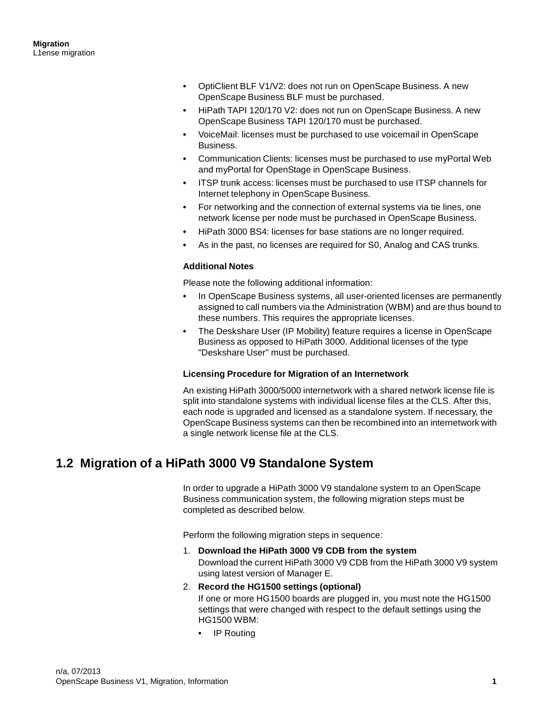- OptiClient BLF V1/V2: does not run on OpenScape Business. A new OpenScape Business BLF must be purchased.
- HiPath TAPI 120/170 V2: does not run on OpenScape Business. A new OpenScape Business TAPI 120/170 must be purchased.
- VoiceMail: licenses must be purchased to use voicemail in OpenScape Business.
- Communication Clients: licenses must be purchased to use myPortal Web and myPortal for OpenStage in OpenScape Business.
- ITSP trunk access: licenses must be purchased to use ITSP channels for Internet telephony in OpenScape Business.
- For networking and the connection of external systems via tie lines, one network license per node must be purchased in OpenScape Business.
- HiPath 3000 BS4: licenses for base stations are no longer required.
- As in the past, no licenses are required for S0, Analog and CAS trunks.

#### **Additional Notes**

Please note the following additional information:

- In OpenScape Business systems, all user-oriented licenses are permanently assigned to call numbers via the Administration (WBM) and are thus bound to these numbers. This requires the appropriate licenses.
- The Deskshare User (IP Mobility) feature requires a license in OpenScape Business as opposed to HiPath 3000. Additional licenses of the type "Deskshare User" must be purchased.

#### **Licensing Procedure for Migration of an Internetwork**

An existing HiPath 3000/5000 internetwork with a shared network license file is split into standalone systems with individual license files at the CLS. After this, each node is upgraded and licensed as a standalone system. If necessary, the OpenScape Business systems can then be recombined into an internetwork with a single network license file at the CLS.

## **1.2 Migration of a HiPath 3000 V9 Standalone System**

In order to upgrade a HiPath 3000 V9 standalone system to an OpenScape Business communication system, the following migration steps must be completed as described below.

Perform the following migration steps in sequence:

1. **Download the HiPath 3000 V9 CDB from the system** Download the current HiPath 3000 V9 CDB from the HiPath 3000 V9 system using latest version of Manager E.

#### 2. **Record the HG1500 settings (optional)**

If one or more HG1500 boards are plugged in, you must note the HG1500 settings that were changed with respect to the default settings using the HG1500 WBM:

**•** IP Routing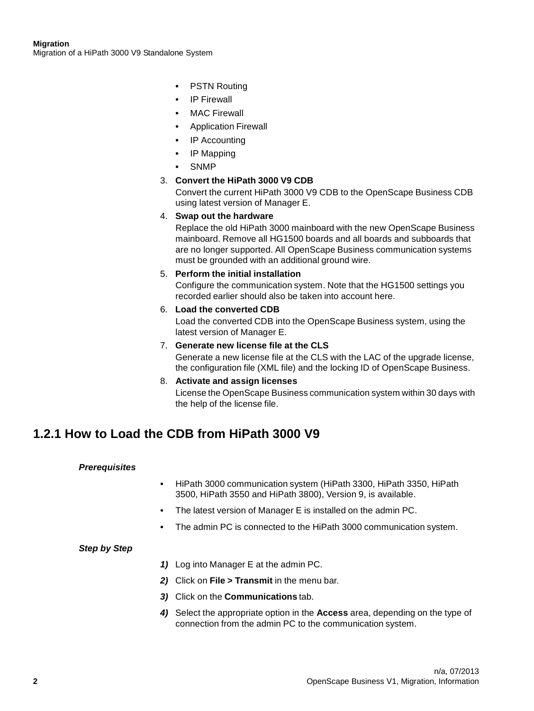#### **Migration**

Migration of a HiPath 3000 V9 Standalone System

- PSTN Routing
- IP Firewall
- MAC Firewall
- Application Firewall
- IP Accounting
- IP Mapping
- SNMP

#### 3. **Convert the HiPath 3000 V9 CDB**

Convert the current HiPath 3000 V9 CDB to the OpenScape Business CDB using latest version of Manager E.

#### 4. **Swap out the hardware**

Replace the old HiPath 3000 mainboard with the new OpenScape Business mainboard. Remove all HG1500 boards and all boards and subboards that are no longer supported. All OpenScape Business communication systems must be grounded with an additional ground wire.

#### 5. **Perform the initial installation**

Configure the communication system. Note that the HG1500 settings you recorded earlier should also be taken into account here.

## 6. **Load the converted CDB**

Load the converted CDB into the OpenScape Business system, using the latest version of Manager E.

#### 7. **Generate new license file at the CLS**

Generate a new license file at the CLS with the LAC of the upgrade license, the configuration file (XML file) and the locking ID of OpenScape Business.

8. **Activate and assign licenses** License the OpenScape Business communication system within 30 days with the help of the license file.

## **1.2.1 How to Load the CDB from HiPath 3000 V9**

#### **Prerequisites**

- HiPath 3000 communication system (HiPath 3300, HiPath 3350, HiPath 3500, HiPath 3550 and HiPath 3800), Version 9, is available.
- The latest version of Manager E is installed on the admin PC.
- The admin PC is connected to the HiPath 3000 communication system.

- **1)** Log into Manager E at the admin PC.
- **2)** Click on **File > Transmit** in the menu bar.
- **3)** Click on the **Communications** tab.
- **4)** Select the appropriate option in the **Access** area, depending on the type of connection from the admin PC to the communication system.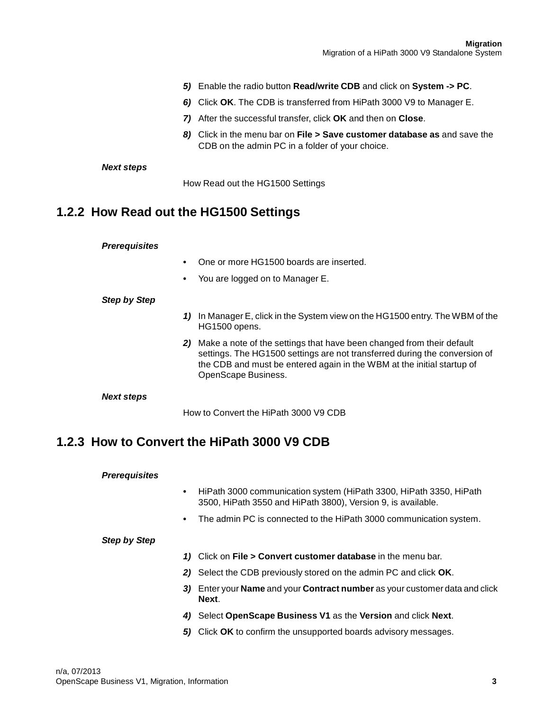- **5)** Enable the radio button **Read/write CDB** and click on **System -> PC**.
- **6)** Click **OK**. The CDB is transferred from HiPath 3000 V9 to Manager E.
- **7)** After the successful transfer, click **OK** and then on **Close**.
- **8)** Click in the menu bar on **File > Save customer database as** and save the CDB on the admin PC in a folder of your choice.

#### **Next steps**

How Read out the HG1500 Settings

### **1.2.2 How Read out the HG1500 Settings**

#### **Prerequisites**

- One or more HG1500 boards are inserted.
- You are logged on to Manager E.

#### **Step by Step**

- **1)** In Manager E, click in the System view on the HG1500 entry. The WBM of the HG1500 opens.
- **2)** Make a note of the settings that have been changed from their default settings. The HG1500 settings are not transferred during the conversion of the CDB and must be entered again in the WBM at the initial startup of OpenScape Business.

#### **Next steps**

How to Convert the HiPath 3000 V9 CDB

### **1.2.3 How to Convert the HiPath 3000 V9 CDB**

#### **Prerequisites**

- HiPath 3000 communication system (HiPath 3300, HiPath 3350, HiPath 3500, HiPath 3550 and HiPath 3800), Version 9, is available.
- The admin PC is connected to the HiPath 3000 communication system.

- **1)** Click on **File > Convert customer database** in the menu bar.
- **2)** Select the CDB previously stored on the admin PC and click **OK**.
- **3)** Enter your **Name** and your **Contract number** as your customer data and click **Next**.
- **4)** Select **OpenScape Business V1** as the **Version** and click **Next**.
- **5)** Click **OK** to confirm the unsupported boards advisory messages.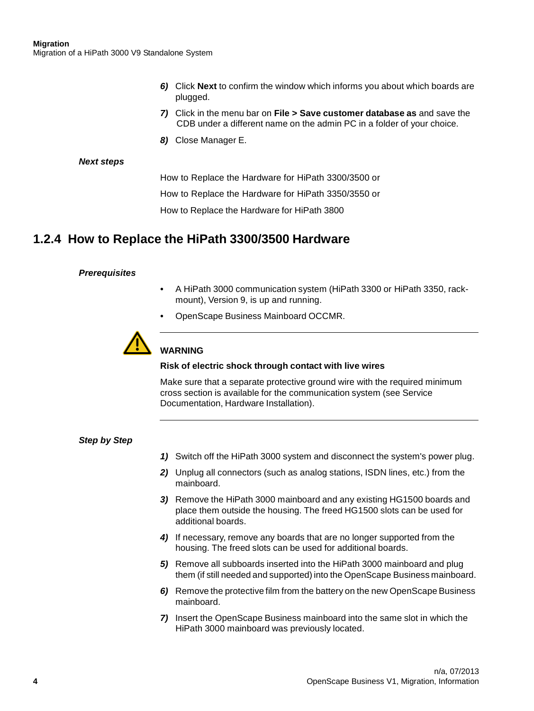- **6)** Click **Next** to confirm the window which informs you about which boards are plugged.
- **7)** Click in the menu bar on **File > Save customer database as** and save the CDB under a different name on the admin PC in a folder of your choice.
- **8)** Close Manager E.

#### **Next steps**

How to Replace the Hardware for HiPath 3300/3500 or

How to Replace the Hardware for HiPath 3350/3550 or

How to Replace the Hardware for HiPath 3800

## **1.2.4 How to Replace the HiPath 3300/3500 Hardware**

#### **Prerequisites**

- A HiPath 3000 communication system (HiPath 3300 or HiPath 3350, rackmount), Version 9, is up and running.
- OpenScape Business Mainboard OCCMR.



#### **WARNING**

#### **Risk of electric shock through contact with live wires**

Make sure that a separate protective ground wire with the required minimum cross section is available for the communication system (see Service Documentation, Hardware Installation).

- **1)** Switch off the HiPath 3000 system and disconnect the system's power plug.
- **2)** Unplug all connectors (such as analog stations, ISDN lines, etc.) from the mainboard.
- **3)** Remove the HiPath 3000 mainboard and any existing HG1500 boards and place them outside the housing. The freed HG1500 slots can be used for additional boards.
- **4)** If necessary, remove any boards that are no longer supported from the housing. The freed slots can be used for additional boards.
- **5)** Remove all subboards inserted into the HiPath 3000 mainboard and plug them (if still needed and supported) into the OpenScape Business mainboard.
- **6)** Remove the protective film from the battery on the new OpenScape Business mainboard.
- **7)** Insert the OpenScape Business mainboard into the same slot in which the HiPath 3000 mainboard was previously located.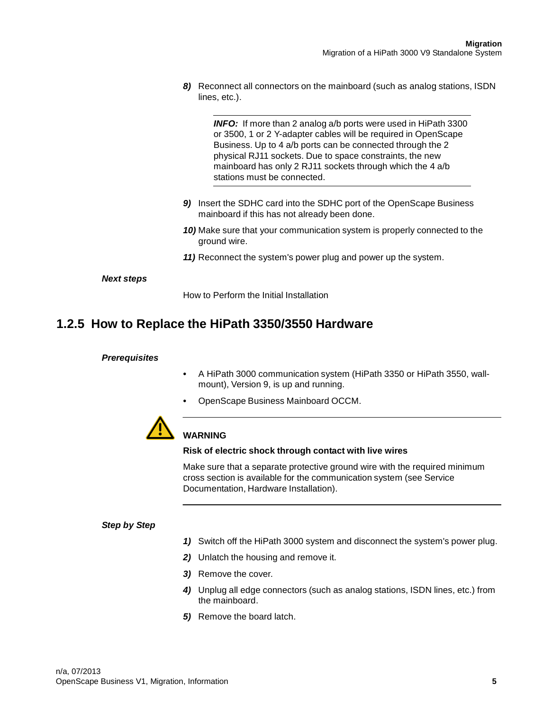**8)** Reconnect all connectors on the mainboard (such as analog stations, ISDN lines, etc.).

**INFO:** If more than 2 analog a/b ports were used in HiPath 3300 or 3500, 1 or 2 Y-adapter cables will be required in OpenScape Business. Up to 4 a/b ports can be connected through the 2 physical RJ11 sockets. Due to space constraints, the new mainboard has only 2 RJ11 sockets through which the 4 a/b stations must be connected.

- **9)** Insert the SDHC card into the SDHC port of the OpenScape Business mainboard if this has not already been done.
- **10)** Make sure that your communication system is properly connected to the ground wire.
- **11)** Reconnect the system's power plug and power up the system.

#### **Next steps**

How to Perform the Initial Installation

## **1.2.5 How to Replace the HiPath 3350/3550 Hardware**

#### **Prerequisites**

- A HiPath 3000 communication system (HiPath 3350 or HiPath 3550, wallmount), Version 9, is up and running.
- OpenScape Business Mainboard OCCM.



#### **WARNING**

#### **Risk of electric shock through contact with live wires**

Make sure that a separate protective ground wire with the required minimum cross section is available for the communication system (see Service Documentation, Hardware Installation).

- **1)** Switch off the HiPath 3000 system and disconnect the system's power plug.
- **2)** Unlatch the housing and remove it.
- **3)** Remove the cover.
- **4)** Unplug all edge connectors (such as analog stations, ISDN lines, etc.) from the mainboard.
- **5)** Remove the board latch.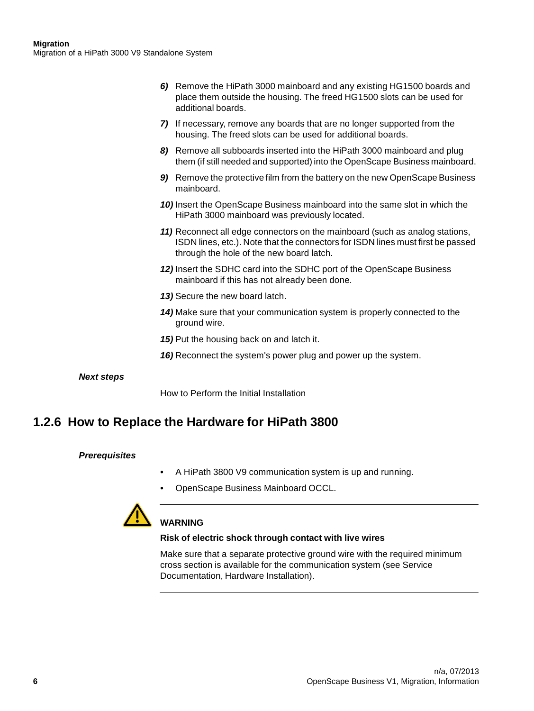- **6)** Remove the HiPath 3000 mainboard and any existing HG1500 boards and place them outside the housing. The freed HG1500 slots can be used for additional boards.
- **7)** If necessary, remove any boards that are no longer supported from the housing. The freed slots can be used for additional boards.
- **8)** Remove all subboards inserted into the HiPath 3000 mainboard and plug them (if still needed and supported) into the OpenScape Business mainboard.
- **9)** Remove the protective film from the battery on the new OpenScape Business mainboard.
- **10)** Insert the OpenScape Business mainboard into the same slot in which the HiPath 3000 mainboard was previously located.
- **11)** Reconnect all edge connectors on the mainboard (such as analog stations, ISDN lines, etc.). Note that the connectors for ISDN lines must first be passed through the hole of the new board latch.
- **12)** Insert the SDHC card into the SDHC port of the OpenScape Business mainboard if this has not already been done.
- **13)** Secure the new board latch.
- **14)** Make sure that your communication system is properly connected to the ground wire.
- **15)** Put the housing back on and latch it.
- **16)** Reconnect the system's power plug and power up the system.

#### **Next steps**

How to Perform the Initial Installation

## **1.2.6 How to Replace the Hardware for HiPath 3800**

#### **Prerequisites**

- A HiPath 3800 V9 communication system is up and running.
- OpenScape Business Mainboard OCCL.



#### **WARNING**

#### **Risk of electric shock through contact with live wires**

Make sure that a separate protective ground wire with the required minimum cross section is available for the communication system (see Service Documentation, Hardware Installation).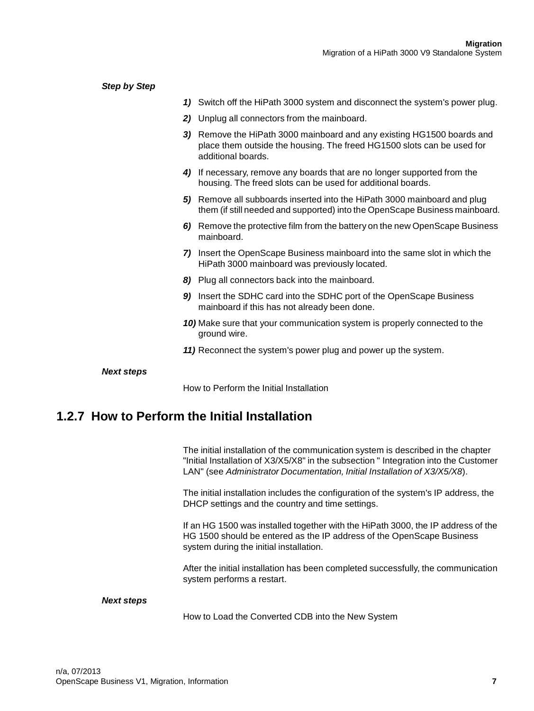| <b>Step by Step</b>                           |                                                                                                                                                                        |
|-----------------------------------------------|------------------------------------------------------------------------------------------------------------------------------------------------------------------------|
| 1)                                            | Switch off the HiPath 3000 system and disconnect the system's power plug.                                                                                              |
|                                               | 2) Unplug all connectors from the mainboard.                                                                                                                           |
|                                               | 3) Remove the HiPath 3000 mainboard and any existing HG1500 boards and<br>place them outside the housing. The freed HG1500 slots can be used for<br>additional boards. |
|                                               | 4) If necessary, remove any boards that are no longer supported from the<br>housing. The freed slots can be used for additional boards.                                |
|                                               | 5) Remove all subboards inserted into the HiPath 3000 mainboard and plug<br>them (if still needed and supported) into the OpenScape Business mainboard.                |
|                                               | 6) Remove the protective film from the battery on the new OpenScape Business<br>mainboard.                                                                             |
|                                               | 7) Insert the OpenScape Business mainboard into the same slot in which the<br>HiPath 3000 mainboard was previously located.                                            |
|                                               | 8) Plug all connectors back into the mainboard.                                                                                                                        |
|                                               | 9) Insert the SDHC card into the SDHC port of the OpenScape Business<br>mainboard if this has not already been done.                                                   |
|                                               | 10) Make sure that your communication system is properly connected to the<br>ground wire.                                                                              |
|                                               | 11) Reconnect the system's power plug and power up the system.                                                                                                         |
| <b>Next steps</b>                             |                                                                                                                                                                        |
|                                               | How to Perform the Initial Installation                                                                                                                                |
| 1.2.7 How to Perform the Initial Installation |                                                                                                                                                                        |

The initial installation of the communication system is described in the chapter "Initial Installation of X3/X5/X8" in the subsection " Integration into the Customer LAN" (see Administrator Documentation, Initial Installation of X3/X5/X8).

The initial installation includes the configuration of the system's IP address, the DHCP settings and the country and time settings.

If an HG 1500 was installed together with the HiPath 3000, the IP address of the HG 1500 should be entered as the IP address of the OpenScape Business system during the initial installation.

After the initial installation has been completed successfully, the communication system performs a restart.

#### **Next steps**

How to Load the Converted CDB into the New System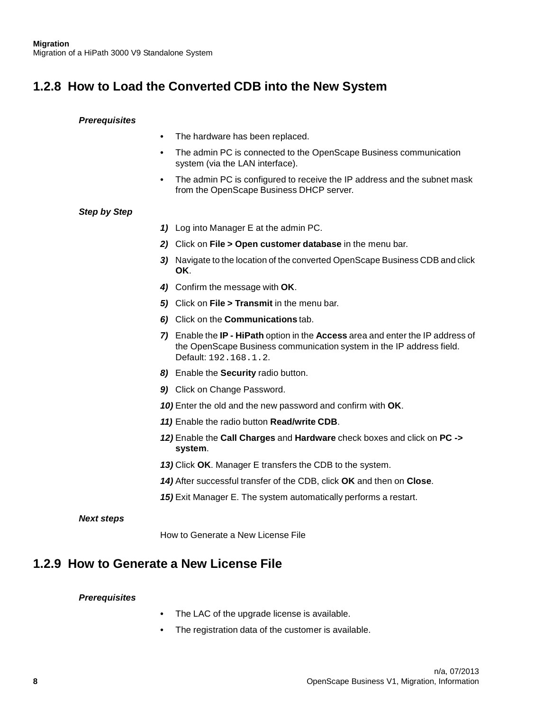## **1.2.8 How to Load the Converted CDB into the New System**

#### **Prerequisites**

- The hardware has been replaced.
- The admin PC is connected to the OpenScape Business communication system (via the LAN interface).
- The admin PC is configured to receive the IP address and the subnet mask from the OpenScape Business DHCP server.

#### **Step by Step**

- **1)** Log into Manager E at the admin PC.
- **2)** Click on **File > Open customer database** in the menu bar.
- **3)** Navigate to the location of the converted OpenScape Business CDB and click **OK**.
- **4)** Confirm the message with **OK**.
- **5)** Click on **File > Transmit** in the menu bar.
- **6)** Click on the **Communications** tab.
- **7)** Enable the **IP HiPath** option in the **Access** area and enter the IP address of the OpenScape Business communication system in the IP address field. Default: 192.168.1.2.
- **8)** Enable the **Security** radio button.
- **9)** Click on Change Password.
- **10)** Enter the old and the new password and confirm with **OK**.
- **11)** Enable the radio button **Read/write CDB**.
- **12)** Enable the **Call Charges** and **Hardware** check boxes and click on **PC -> system**.
- **13)** Click **OK**. Manager E transfers the CDB to the system.
- **14)** After successful transfer of the CDB, click **OK** and then on **Close**.
- **15)** Exit Manager E. The system automatically performs a restart.

#### **Next steps**

How to Generate a New License File

## **1.2.9 How to Generate a New License File**

#### **Prerequisites**

- The LAC of the upgrade license is available.
- The registration data of the customer is available.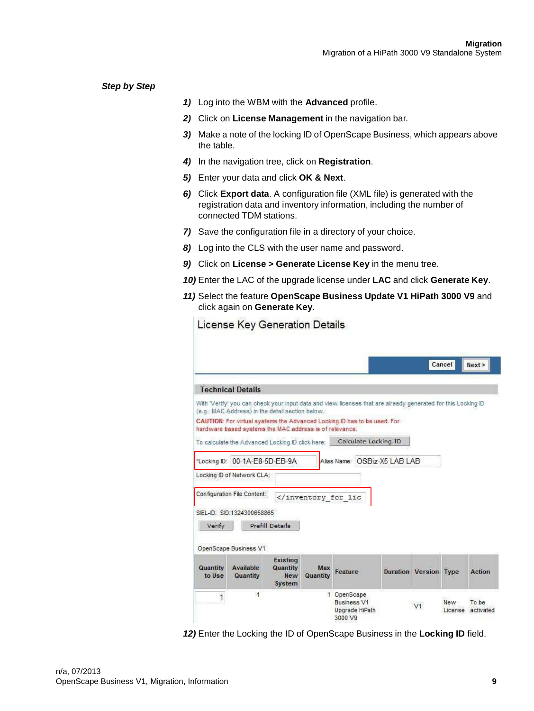**Step by Step**

- **1)** Log into the WBM with the **Advanced** profile.
- **2)** Click on **License Management** in the navigation bar.
- **3)** Make a note of the locking ID of OpenScape Business, which appears above the table.
- **4)** In the navigation tree, click on **Registration**.
- **5)** Enter your data and click **OK & Next**.

Licanse Key Generation Details

- **6)** Click **Export data**. A configuration file (XML file) is generated with the registration data and inventory information, including the number of connected TDM stations.
- **7)** Save the configuration file in a directory of your choice.
- **8)** Log into the CLS with the user name and password.
- **9)** Click on **License > Generate License Key** in the menu tree.
- **10)** Enter the LAC of the upgrade license under **LAC** and click **Generate Key**.
- **11)** Select the feature **OpenScape Business Update V1 HiPath 3000 V9** and click again on **Generate Key**.

|                    |                                                         |                            |                                         |                                                                                                              |                              | Cancel | Next > |
|--------------------|---------------------------------------------------------|----------------------------|-----------------------------------------|--------------------------------------------------------------------------------------------------------------|------------------------------|--------|--------|
|                    | <b>Technical Details</b>                                |                            |                                         |                                                                                                              |                              |        |        |
|                    |                                                         |                            |                                         | With 'Verify' you can check your input data and view licenses that are already generated for this Locking ID |                              |        |        |
|                    | (e.g.: MAC Address) in the detail section below.        |                            |                                         | CAUTION: For virtual systems the Advanced Locking ID has to be used. For                                     |                              |        |        |
|                    | hardware based systems the MAC address is of relevance. |                            |                                         |                                                                                                              |                              |        |        |
|                    | To calculate the Advanced Locking ID click here:        |                            |                                         | Calculate Locking ID                                                                                         |                              |        |        |
| Locking ID:        | 00-1A-E8-5D-EB-9A                                       |                            |                                         | Alias Name: OSBiz-X5   AB   AB                                                                               |                              |        |        |
|                    |                                                         |                            |                                         |                                                                                                              |                              |        |        |
|                    |                                                         |                            |                                         |                                                                                                              |                              |        |        |
|                    | Locking ID of Network CLA:                              |                            |                                         |                                                                                                              |                              |        |        |
|                    | Configuration File Content:                             |                            | <td></td> <td></td> <td></td> <td></td> |                                                                                                              |                              |        |        |
|                    |                                                         |                            |                                         |                                                                                                              |                              |        |        |
|                    | SIEL-ID: SID:1324300658865                              |                            |                                         |                                                                                                              |                              |        |        |
| Verify             |                                                         | Prefill Details            |                                         |                                                                                                              |                              |        |        |
|                    | OpenScape Business V1                                   |                            |                                         |                                                                                                              |                              |        |        |
|                    |                                                         | <b>Existing</b>            |                                         |                                                                                                              |                              |        |        |
| Quantity<br>to Use | Available<br>Quantity                                   | Quantity.<br>New<br>System | Max<br>Quantity                         | Feature                                                                                                      | <b>Duration Version Type</b> |        | Action |

**12)** Enter the Locking the ID of OpenScape Business in the **Locking ID** field.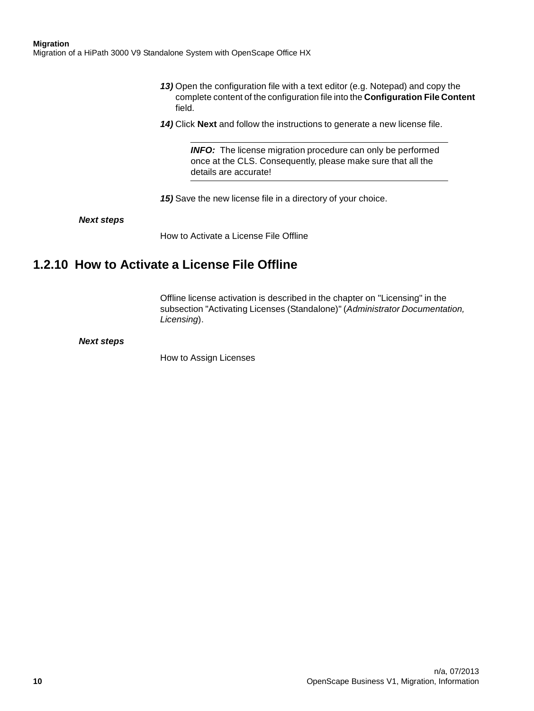**Migration**

Migration of a HiPath 3000 V9 Standalone System with OpenScape Office HX

- **13)** Open the configuration file with a text editor (e.g. Notepad) and copy the complete content of the configuration file into the **Configuration File Content**  field.
- **14)** Click **Next** and follow the instructions to generate a new license file.

**INFO:** The license migration procedure can only be performed once at the CLS. Consequently, please make sure that all the details are accurate!

**15)** Save the new license file in a directory of your choice.

**Next steps**

How to Activate a License File Offline

## **1.2.10 How to Activate a License File Offline**

Offline license activation is described in the chapter on "Licensing" in the subsection "Activating Licenses (Standalone)" (Administrator Documentation, Licensing).

**Next steps**

How to Assign Licenses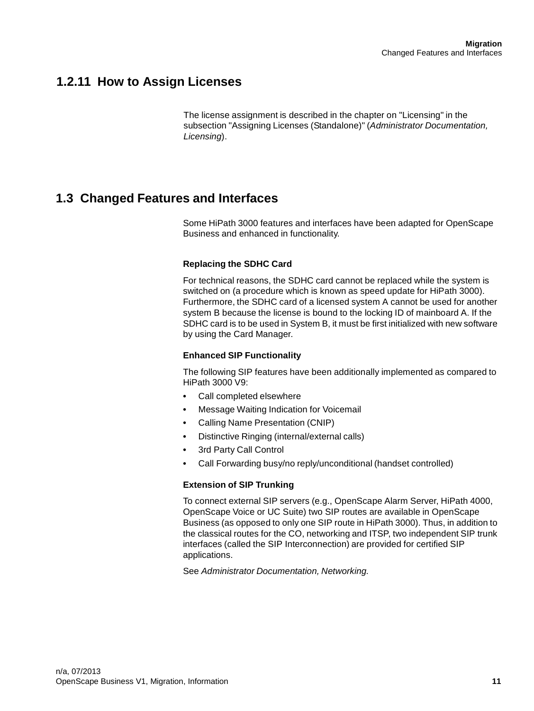## **1.2.11 How to Assign Licenses**

The license assignment is described in the chapter on "Licensing" in the subsection "Assigning Licenses (Standalone)" (Administrator Documentation, Licensing).

## **1.3 Changed Features and Interfaces**

Some HiPath 3000 features and interfaces have been adapted for OpenScape Business and enhanced in functionality.

#### **Replacing the SDHC Card**

For technical reasons, the SDHC card cannot be replaced while the system is switched on (a procedure which is known as speed update for HiPath 3000). Furthermore, the SDHC card of a licensed system A cannot be used for another system B because the license is bound to the locking ID of mainboard A. If the SDHC card is to be used in System B, it must be first initialized with new software by using the Card Manager.

#### **Enhanced SIP Functionality**

The following SIP features have been additionally implemented as compared to HiPath 3000 V9:

- Call completed elsewhere
- Message Waiting Indication for Voicemail
- Calling Name Presentation (CNIP)
- Distinctive Ringing (internal/external calls)
- 3rd Party Call Control
- Call Forwarding busy/no reply/unconditional (handset controlled)

#### **Extension of SIP Trunking**

To connect external SIP servers (e.g., OpenScape Alarm Server, HiPath 4000, OpenScape Voice or UC Suite) two SIP routes are available in OpenScape Business (as opposed to only one SIP route in HiPath 3000). Thus, in addition to the classical routes for the CO, networking and ITSP, two independent SIP trunk interfaces (called the SIP Interconnection) are provided for certified SIP applications.

See Administrator Documentation, Networking.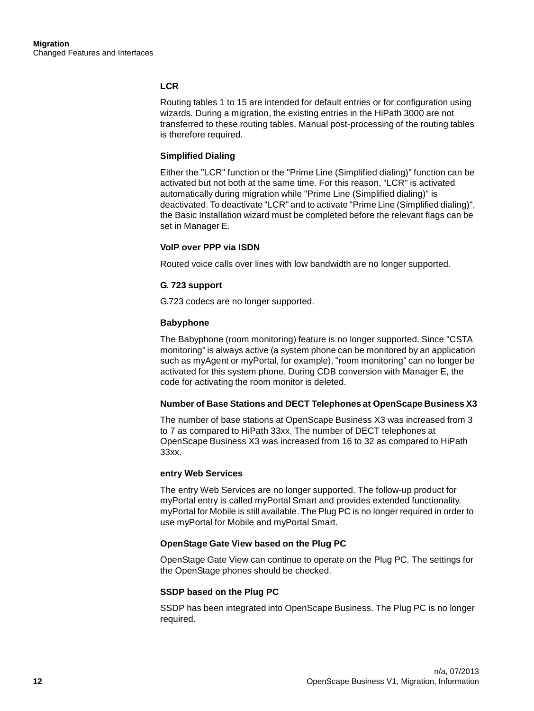#### **LCR**

Routing tables 1 to 15 are intended for default entries or for configuration using wizards. During a migration, the existing entries in the HiPath 3000 are not transferred to these routing tables. Manual post-processing of the routing tables is therefore required.

#### **Simplified Dialing**

Either the "LCR" function or the "Prime Line (Simplified dialing)" function can be activated but not both at the same time. For this reason, "LCR" is activated automatically during migration while "Prime Line (Simplified dialing)" is deactivated. To deactivate "LCR" and to activate "Prime Line (Simplified dialing)", the Basic Installation wizard must be completed before the relevant flags can be set in Manager E.

#### **VoIP over PPP via ISDN**

Routed voice calls over lines with low bandwidth are no longer supported.

#### **G. 723 support**

G.723 codecs are no longer supported.

#### **Babyphone**

The Babyphone (room monitoring) feature is no longer supported. Since "CSTA monitoring" is always active (a system phone can be monitored by an application such as myAgent or myPortal, for example), "room monitoring" can no longer be activated for this system phone. During CDB conversion with Manager E, the code for activating the room monitor is deleted.

#### **Number of Base Stations and DECT Telephones at OpenScape Business X3**

The number of base stations at OpenScape Business X3 was increased from 3 to 7 as compared to HiPath 33xx. The number of DECT telephones at OpenScape Business X3 was increased from 16 to 32 as compared to HiPath 33xx.

#### **entry Web Services**

The entry Web Services are no longer supported. The follow-up product for myPortal entry is called myPortal Smart and provides extended functionality. myPortal for Mobile is still available. The Plug PC is no longer required in order to use myPortal for Mobile and myPortal Smart.

#### **OpenStage Gate View based on the Plug PC**

OpenStage Gate View can continue to operate on the Plug PC. The settings for the OpenStage phones should be checked.

#### **SSDP based on the Plug PC**

SSDP has been integrated into OpenScape Business. The Plug PC is no longer required.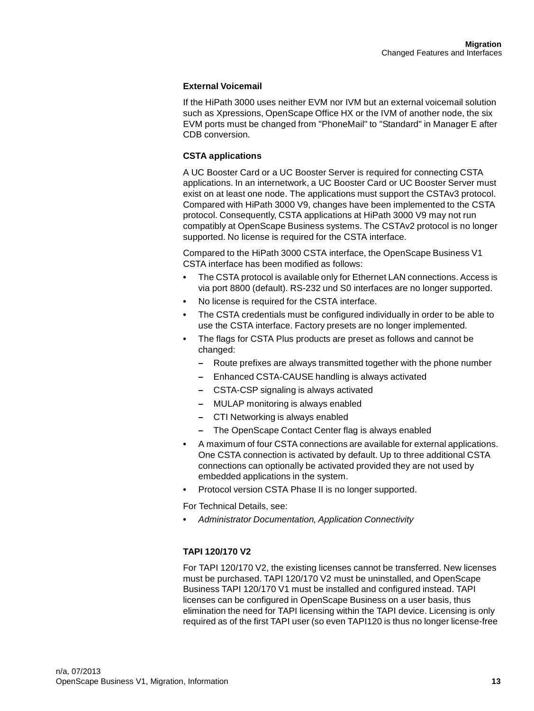#### **External Voicemail**

If the HiPath 3000 uses neither EVM nor IVM but an external voicemail solution such as Xpressions, OpenScape Office HX or the IVM of another node, the six EVM ports must be changed from "PhoneMail" to "Standard" in Manager E after CDB conversion.

#### **CSTA applications**

A UC Booster Card or a UC Booster Server is required for connecting CSTA applications. In an internetwork, a UC Booster Card or UC Booster Server must exist on at least one node. The applications must support the CSTAv3 protocol. Compared with HiPath 3000 V9, changes have been implemented to the CSTA protocol. Consequently, CSTA applications at HiPath 3000 V9 may not run compatibly at OpenScape Business systems. The CSTAv2 protocol is no longer supported. No license is required for the CSTA interface.

Compared to the HiPath 3000 CSTA interface, the OpenScape Business V1 CSTA interface has been modified as follows:

- The CSTA protocol is available only for Ethernet LAN connections. Access is via port 8800 (default). RS-232 und S0 interfaces are no longer supported.
- No license is required for the CSTA interface.
- The CSTA credentials must be configured individually in order to be able to use the CSTA interface. Factory presets are no longer implemented.
- The flags for CSTA Plus products are preset as follows and cannot be changed:
	- Route prefixes are always transmitted together with the phone number
	- Enhanced CSTA-CAUSE handling is always activated
	- CSTA-CSP signaling is always activated
	- MULAP monitoring is always enabled
	- CTI Networking is always enabled
	- The OpenScape Contact Center flag is always enabled
- A maximum of four CSTA connections are available for external applications. One CSTA connection is activated by default. Up to three additional CSTA connections can optionally be activated provided they are not used by embedded applications in the system.
- Protocol version CSTA Phase II is no longer supported.

For Technical Details, see:

**•** Administrator Documentation, Application Connectivity

#### **TAPI 120/170 V2**

For TAPI 120/170 V2, the existing licenses cannot be transferred. New licenses must be purchased. TAPI 120/170 V2 must be uninstalled, and OpenScape Business TAPI 120/170 V1 must be installed and configured instead. TAPI licenses can be configured in OpenScape Business on a user basis, thus elimination the need for TAPI licensing within the TAPI device. Licensing is only required as of the first TAPI user (so even TAPI120 is thus no longer license-free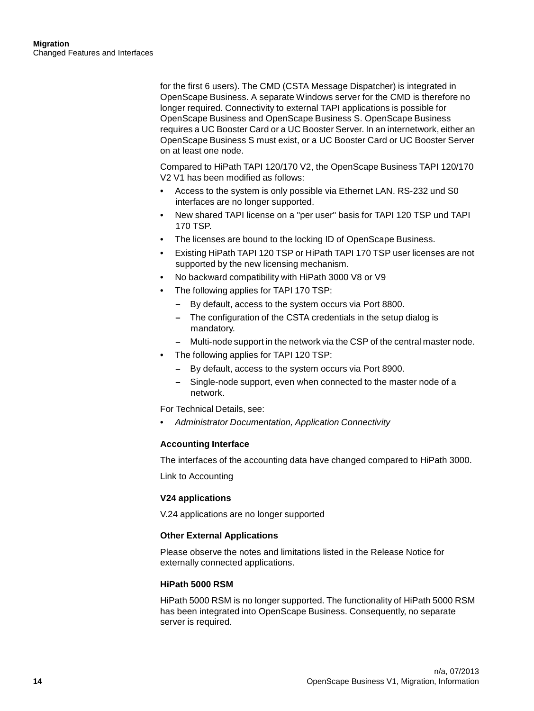for the first 6 users). The CMD (CSTA Message Dispatcher) is integrated in OpenScape Business. A separate Windows server for the CMD is therefore no longer required. Connectivity to external TAPI applications is possible for OpenScape Business and OpenScape Business S. OpenScape Business requires a UC Booster Card or a UC Booster Server. In an internetwork, either an OpenScape Business S must exist, or a UC Booster Card or UC Booster Server on at least one node.

Compared to HiPath TAPI 120/170 V2, the OpenScape Business TAPI 120/170 V2 V1 has been modified as follows:

- Access to the system is only possible via Ethernet LAN. RS-232 und S0 interfaces are no longer supported.
- New shared TAPI license on a "per user" basis for TAPI 120 TSP und TAPI 170 TSP.
- The licenses are bound to the locking ID of OpenScape Business.
- Existing HiPath TAPI 120 TSP or HiPath TAPI 170 TSP user licenses are not supported by the new licensing mechanism.
- No backward compatibility with HiPath 3000 V8 or V9
- The following applies for TAPI 170 TSP:
	- By default, access to the system occurs via Port 8800.
	- The configuration of the CSTA credentials in the setup dialog is mandatory.
	- Multi-node support in the network via the CSP of the central master node.
- The following applies for TAPI 120 TSP:
	- By default, access to the system occurs via Port 8900.
	- Single-node support, even when connected to the master node of a network.

For Technical Details, see:

**•** Administrator Documentation, Application Connectivity

#### **Accounting Interface**

The interfaces of the accounting data have changed compared to HiPath 3000.

Link to Accounting

#### **V24 applications**

V.24 applications are no longer supported

#### **Other External Applications**

Please observe the notes and limitations listed in the Release Notice for externally connected applications.

#### **HiPath 5000 RSM**

HiPath 5000 RSM is no longer supported. The functionality of HiPath 5000 RSM has been integrated into OpenScape Business. Consequently, no separate server is required.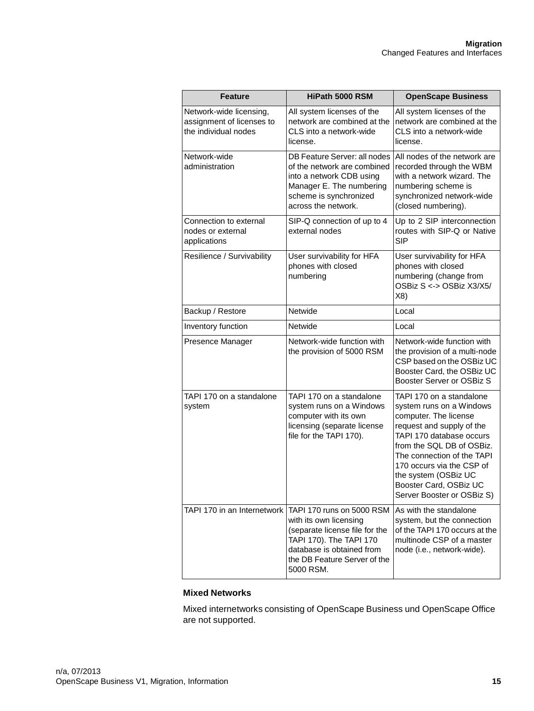| <b>Feature</b>                                                               | HiPath 5000 RSM                                                                                                                                                                                                          | <b>OpenScape Business</b>                                                                                                                                                                                                                                                                                      |
|------------------------------------------------------------------------------|--------------------------------------------------------------------------------------------------------------------------------------------------------------------------------------------------------------------------|----------------------------------------------------------------------------------------------------------------------------------------------------------------------------------------------------------------------------------------------------------------------------------------------------------------|
| Network-wide licensing,<br>assignment of licenses to<br>the individual nodes | All system licenses of the<br>network are combined at the<br>CLS into a network-wide<br>license.                                                                                                                         | All system licenses of the<br>network are combined at the<br>CLS into a network-wide<br>license.                                                                                                                                                                                                               |
| Network-wide<br>administration                                               | DB Feature Server: all nodes<br>of the network are combined<br>into a network CDB using<br>Manager E. The numbering<br>scheme is synchronized<br>across the network.                                                     | All nodes of the network are<br>recorded through the WBM<br>with a network wizard. The<br>numbering scheme is<br>synchronized network-wide<br>(closed numbering).                                                                                                                                              |
| Connection to external<br>nodes or external<br>applications                  | SIP-Q connection of up to 4<br>external nodes                                                                                                                                                                            | Up to 2 SIP interconnection<br>routes with SIP-Q or Native<br><b>SIP</b>                                                                                                                                                                                                                                       |
| Resilience / Survivability                                                   | User survivability for HFA<br>phones with closed<br>numbering                                                                                                                                                            | User survivability for HFA<br>phones with closed<br>numbering (change from<br>OSBiz S <-> OSBiz X3/X5/<br>X8)                                                                                                                                                                                                  |
| Backup / Restore                                                             | Netwide                                                                                                                                                                                                                  | Local                                                                                                                                                                                                                                                                                                          |
| Inventory function                                                           | Netwide                                                                                                                                                                                                                  | Local                                                                                                                                                                                                                                                                                                          |
| Presence Manager                                                             | Network-wide function with<br>the provision of 5000 RSM                                                                                                                                                                  | Network-wide function with<br>the provision of a multi-node<br>CSP based on the OSBiz UC<br>Booster Card, the OSBiz UC<br>Booster Server or OSBiz S                                                                                                                                                            |
| TAPI 170 on a standalone<br>system                                           | TAPI 170 on a standalone<br>system runs on a Windows<br>computer with its own<br>licensing (separate license<br>file for the TAPI 170).                                                                                  | TAPI 170 on a standalone<br>system runs on a Windows<br>computer. The license<br>request and supply of the<br>TAPI 170 database occurs<br>from the SQL DB of OSBiz.<br>The connection of the TAPI<br>170 occurs via the CSP of<br>the system (OSBiz UC<br>Booster Card, OSBiz UC<br>Server Booster or OSBiz S) |
|                                                                              | TAPI 170 in an Internetwork   TAPI 170 runs on 5000 RSM<br>with its own licensing<br>(separate license file for the<br>TAPI 170). The TAPI 170<br>database is obtained from<br>the DB Feature Server of the<br>5000 RSM. | As with the standalone<br>system, but the connection<br>of the TAPI 170 occurs at the<br>multinode CSP of a master<br>node (i.e., network-wide).                                                                                                                                                               |

#### **Mixed Networks**

Mixed internetworks consisting of OpenScape Business und OpenScape Office are not supported.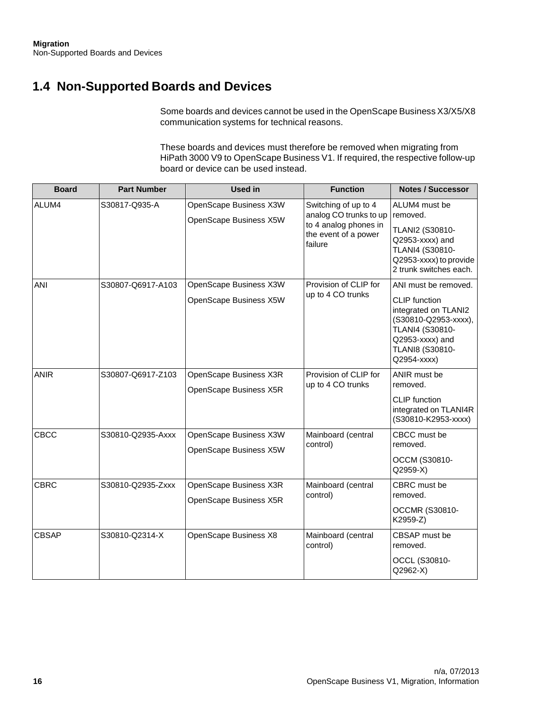## **1.4 Non-Supported Boards and Devices**

Some boards and devices cannot be used in the OpenScape Business X3/X5/X8 communication systems for technical reasons.

These boards and devices must therefore be removed when migrating from HiPath 3000 V9 to OpenScape Business V1. If required, the respective follow-up board or device can be used instead.

| <b>Board</b> | <b>Part Number</b> | <b>Used in</b>                                   | <b>Function</b>                                                                                            | <b>Notes / Successor</b>                                                                                                                                             |
|--------------|--------------------|--------------------------------------------------|------------------------------------------------------------------------------------------------------------|----------------------------------------------------------------------------------------------------------------------------------------------------------------------|
| ALUM4        | S30817-Q935-A      | OpenScape Business X3W<br>OpenScape Business X5W | Switching of up to 4<br>analog CO trunks to up<br>to 4 analog phones in<br>the event of a power<br>failure | ALUM4 must be<br>removed.<br>TLANI2 (S30810-<br>Q2953-xxxx) and<br>TLANI4 (S30810-<br>Q2953-xxxx) to provide<br>2 trunk switches each.                               |
| ANI          | S30807-Q6917-A103  | OpenScape Business X3W<br>OpenScape Business X5W | Provision of CLIP for<br>up to 4 CO trunks                                                                 | ANI must be removed.<br><b>CLIP</b> function<br>integrated on TLANI2<br>(S30810-Q2953-xxxx),<br>TLANI4 (S30810-<br>Q2953-xxxx) and<br>TLANI8 (S30810-<br>Q2954-xxxx) |
| <b>ANIR</b>  | S30807-Q6917-Z103  | OpenScape Business X3R<br>OpenScape Business X5R | Provision of CLIP for<br>up to 4 CO trunks                                                                 | ANIR must be<br>removed.<br><b>CLIP</b> function<br>integrated on TLANI4R<br>(S30810-K2953-xxxx)                                                                     |
| <b>CBCC</b>  | S30810-Q2935-Axxx  | OpenScape Business X3W<br>OpenScape Business X5W | Mainboard (central<br>control)                                                                             | CBCC must be<br>removed.<br>OCCM (S30810-<br>Q2959-X)                                                                                                                |
| <b>CBRC</b>  | S30810-Q2935-Zxxx  | OpenScape Business X3R<br>OpenScape Business X5R | Mainboard (central<br>control)                                                                             | CBRC must be<br>removed.<br><b>OCCMR (S30810-</b><br>K2959-Z)                                                                                                        |
| <b>CBSAP</b> | S30810-Q2314-X     | OpenScape Business X8                            | Mainboard (central<br>control)                                                                             | CBSAP must be<br>removed.<br>OCCL (S30810-<br>Q2962-X)                                                                                                               |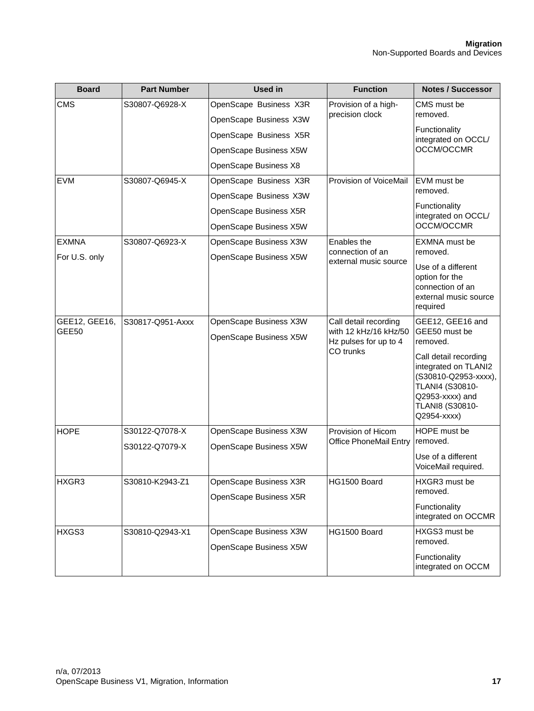| <b>Board</b>                  | <b>Part Number</b> | <b>Used in</b>                                   | <b>Function</b>                                                         | <b>Notes / Successor</b>                                                                                                                      |
|-------------------------------|--------------------|--------------------------------------------------|-------------------------------------------------------------------------|-----------------------------------------------------------------------------------------------------------------------------------------------|
| <b>CMS</b>                    | S30807-Q6928-X     | OpenScape Business X3R<br>precision clock        | Provision of a high-                                                    | CMS must be                                                                                                                                   |
|                               |                    | OpenScape Business X3W                           |                                                                         | removed.                                                                                                                                      |
|                               |                    | OpenScape Business X5R                           |                                                                         | Functionality<br>integrated on OCCL/                                                                                                          |
|                               |                    | OpenScape Business X5W                           |                                                                         | OCCM/OCCMR                                                                                                                                    |
|                               |                    | OpenScape Business X8                            |                                                                         |                                                                                                                                               |
| <b>EVM</b>                    | S30807-Q6945-X     | OpenScape Business X3R                           | Provision of VoiceMail                                                  | EVM must be                                                                                                                                   |
|                               |                    | OpenScape Business X3W                           |                                                                         | removed.                                                                                                                                      |
|                               |                    | OpenScape Business X5R                           |                                                                         | Functionality<br>integrated on OCCL/                                                                                                          |
|                               |                    | OpenScape Business X5W                           |                                                                         | OCCM/OCCMR                                                                                                                                    |
| <b>EXMNA</b>                  | S30807-Q6923-X     | OpenScape Business X3W                           | Enables the                                                             | <b>EXMNA</b> must be                                                                                                                          |
| For U.S. only                 |                    | OpenScape Business X5W                           | connection of an<br>external music source                               | removed.                                                                                                                                      |
|                               |                    |                                                  |                                                                         | Use of a different<br>option for the<br>connection of an<br>external music source<br>required                                                 |
| GEE12, GEE16,<br><b>GEE50</b> | S30817-Q951-Axxx   | OpenScape Business X3W<br>OpenScape Business X5W | Call detail recording<br>with 12 kHz/16 kHz/50<br>Hz pulses for up to 4 | GEE12, GEE16 and<br>GEE50 must be<br>removed.                                                                                                 |
|                               |                    |                                                  | CO trunks                                                               | Call detail recording<br>integrated on TLANI2<br>(S30810-Q2953-xxxx),<br>TLANI4 (S30810-<br>Q2953-xxxx) and<br>TLANI8 (S30810-<br>Q2954-xxxx) |
| <b>HOPE</b>                   | S30122-Q7078-X     | OpenScape Business X3W                           | Provision of Hicom                                                      | HOPE must be                                                                                                                                  |
|                               | S30122-Q7079-X     | OpenScape Business X5W                           | Office PhoneMail Entry                                                  | removed.                                                                                                                                      |
|                               |                    |                                                  |                                                                         | Use of a different<br>VoiceMail required.                                                                                                     |
| HXGR3                         | S30810-K2943-Z1    | OpenScape Business X3R                           | HG1500 Board                                                            | HXGR3 must be                                                                                                                                 |
|                               |                    | OpenScape Business X5R                           |                                                                         | removed.                                                                                                                                      |
|                               |                    |                                                  |                                                                         | Functionality<br>integrated on OCCMR                                                                                                          |
| HXGS3                         | S30810-Q2943-X1    | OpenScape Business X3W                           | HG1500 Board                                                            | HXGS3 must be<br>removed.                                                                                                                     |
|                               |                    | OpenScape Business X5W                           |                                                                         | Functionality<br>integrated on OCCM                                                                                                           |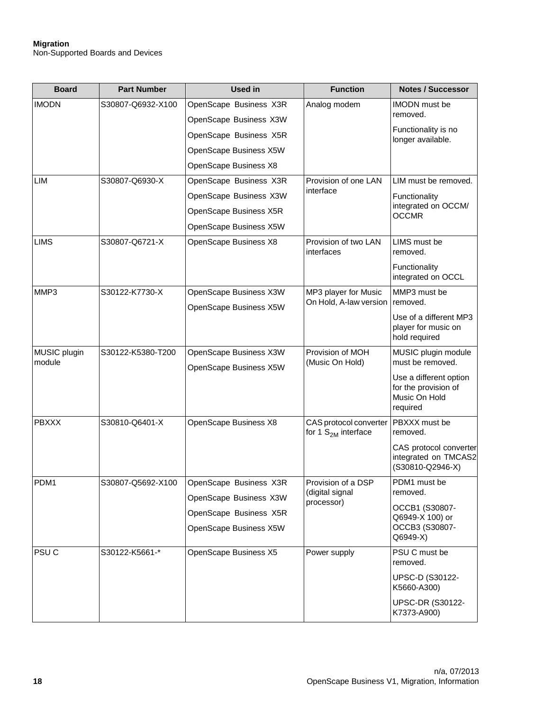#### **Migration** Non-Supported Boards and Devices

| <b>Board</b>           | <b>Part Number</b> | <b>Used in</b>         | <b>Function</b>                                 | <b>Notes / Successor</b>                                                    |
|------------------------|--------------------|------------------------|-------------------------------------------------|-----------------------------------------------------------------------------|
| <b>IMODN</b>           | S30807-Q6932-X100  | OpenScape Business X3R | Analog modem                                    | <b>IMODN</b> must be                                                        |
|                        |                    | OpenScape Business X3W |                                                 | removed.                                                                    |
|                        |                    | OpenScape Business X5R |                                                 | Functionality is no<br>longer available.                                    |
|                        |                    | OpenScape Business X5W |                                                 |                                                                             |
|                        |                    | OpenScape Business X8  |                                                 |                                                                             |
| LIM                    | S30807-Q6930-X     | OpenScape Business X3R | Provision of one LAN                            | LIM must be removed.<br>Functionality                                       |
|                        |                    | OpenScape Business X3W | interface                                       |                                                                             |
|                        |                    | OpenScape Business X5R |                                                 | integrated on OCCM/<br><b>OCCMR</b>                                         |
|                        |                    | OpenScape Business X5W |                                                 |                                                                             |
| <b>LIMS</b>            | S30807-Q6721-X     | OpenScape Business X8  | Provision of two LAN<br>interfaces              | LIMS must be<br>removed.                                                    |
|                        |                    |                        |                                                 | Functionality<br>integrated on OCCL                                         |
| MMP3                   | S30122-K7730-X     | OpenScape Business X3W | MP3 player for Music                            | MMP3 must be                                                                |
|                        |                    | OpenScape Business X5W | On Hold, A-law version                          | removed.                                                                    |
|                        |                    |                        |                                                 | Use of a different MP3<br>player for music on<br>hold required              |
| MUSIC plugin<br>module | S30122-K5380-T200  | OpenScape Business X3W | Provision of MOH                                | MUSIC plugin module                                                         |
|                        |                    | OpenScape Business X5W | (Music On Hold)                                 | must be removed.                                                            |
|                        |                    |                        |                                                 | Use a different option<br>for the provision of<br>Music On Hold<br>required |
| <b>PBXXX</b>           | S30810-Q6401-X     | OpenScape Business X8  | CAS protocol converter<br>for 1 $S2M$ interface | PBXXX must be<br>removed.                                                   |
|                        |                    |                        |                                                 | CAS protocol converter<br>integrated on TMCAS2<br>(S30810-Q2946-X)          |
| PDM1                   | S30807-Q5692-X100  | OpenScape Business X3R | Provision of a DSP                              | PDM1 must be                                                                |
|                        |                    | OpenScape Business X3W | (digital signal<br>processor)                   | removed.                                                                    |
|                        |                    | OpenScape Business X5R |                                                 | OCCB1 (S30807-<br>Q6949-X 100) or                                           |
|                        |                    | OpenScape Business X5W |                                                 | OCCB3 (S30807-<br>Q6949-X)                                                  |
| PSU <sub>C</sub>       | S30122-K5661-*     | OpenScape Business X5  | Power supply                                    | PSU C must be<br>removed.                                                   |
|                        |                    |                        |                                                 | <b>UPSC-D (S30122-</b><br>K5660-A300)                                       |
|                        |                    |                        |                                                 | <b>UPSC-DR (S30122-</b><br>K7373-A900)                                      |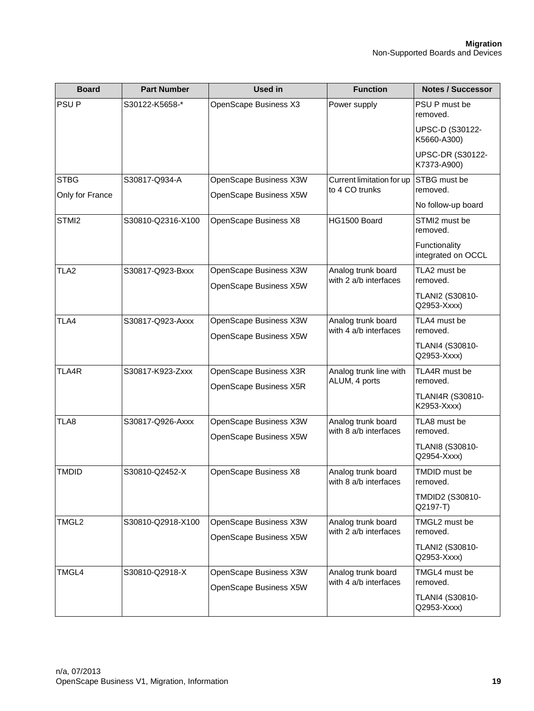| <b>Board</b>     | <b>Part Number</b> | <b>Used in</b>                                   | <b>Function</b>                             | <b>Notes / Successor</b>                    |                           |
|------------------|--------------------|--------------------------------------------------|---------------------------------------------|---------------------------------------------|---------------------------|
| PSU <sub>P</sub> | S30122-K5658-*     | OpenScape Business X3                            | Power supply                                | PSU P must be<br>removed.                   |                           |
|                  |                    |                                                  |                                             | UPSC-D (S30122-<br>K5660-A300)              |                           |
|                  |                    |                                                  |                                             | <b>UPSC-DR (S30122-</b><br>K7373-A900)      |                           |
| <b>STBG</b>      | S30817-Q934-A      | OpenScape Business X3W                           | Current limitation for up                   | STBG must be                                |                           |
| Only for France  |                    | OpenScape Business X5W                           | to 4 CO trunks                              | removed.                                    |                           |
|                  |                    |                                                  |                                             | No follow-up board                          |                           |
| STMI2            | S30810-Q2316-X100  | OpenScape Business X8                            | HG1500 Board                                | STMI2 must be<br>removed.                   |                           |
|                  |                    |                                                  |                                             | Functionality<br>integrated on OCCL         |                           |
| TLA <sub>2</sub> | S30817-Q923-Bxxx   | OpenScape Business X3W                           | Analog trunk board                          | TLA2 must be                                |                           |
|                  |                    | OpenScape Business X5W                           | with 2 a/b interfaces                       | removed.                                    |                           |
|                  |                    |                                                  |                                             | TLANI2 (S30810-<br>Q2953-Xxxx)              |                           |
| TLA4             | S30817-Q923-Axxx   | OpenScape Business X3W                           | Analog trunk board                          | TLA4 must be                                |                           |
|                  |                    | OpenScape Business X5W                           | with 4 a/b interfaces                       | removed.                                    |                           |
|                  |                    |                                                  |                                             | TLANI4 (S30810-<br>Q2953-Xxxx)              |                           |
| TLA4R            | S30817-K923-Zxxx   | OpenScape Business X3R                           | Analog trunk line with                      | TLA4R must be                               |                           |
|                  |                    | OpenScape Business X5R                           | ALUM, 4 ports                               | removed.                                    |                           |
|                  |                    |                                                  |                                             | <b>TLANI4R (S30810-</b><br>K2953-Xxxx)      |                           |
| TLA8             | S30817-Q926-Axxx   | OpenScape Business X3W<br>OpenScape Business X5W | Analog trunk board<br>with 8 a/b interfaces | TLA8 must be<br>removed.                    |                           |
|                  |                    |                                                  |                                             | TLANI8 (S30810-<br>Q2954-Xxxx)              |                           |
| <b>TMDID</b>     | S30810-Q2452-X     |                                                  | OpenScape Business X8                       | Analog trunk board<br>with 8 a/b interfaces | TMDID must be<br>removed. |
|                  |                    |                                                  |                                             | TMDID2 (S30810-<br>Q2197-T)                 |                           |
| TMGL2            | S30810-Q2918-X100  | OpenScape Business X3W                           | Analog trunk board                          | TMGL2 must be                               |                           |
|                  |                    | OpenScape Business X5W                           | with 2 a/b interfaces                       | removed.                                    |                           |
|                  |                    |                                                  |                                             | <b>TLANI2 (S30810-</b><br>Q2953-Xxxx)       |                           |
| TMGL4            | S30810-Q2918-X     | OpenScape Business X3W                           | Analog trunk board                          | TMGL4 must be                               |                           |
|                  |                    | OpenScape Business X5W                           | with 4 a/b interfaces                       | removed.                                    |                           |
|                  |                    |                                                  |                                             | TLANI4 (S30810-<br>Q2953-Xxxx)              |                           |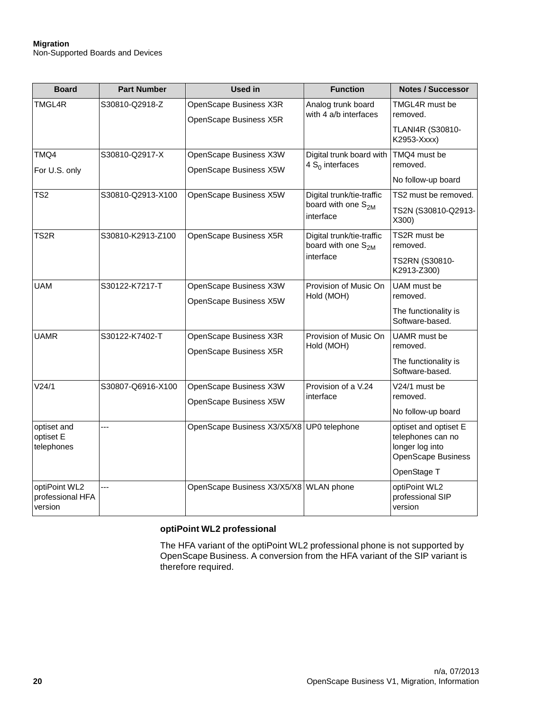#### **Migration** Non-Supported Boards and Devices

| <b>Board</b>                                 | <b>Part Number</b> | <b>Used in</b>                                   | <b>Function</b>                                                          | <b>Notes / Successor</b>                                                                           |
|----------------------------------------------|--------------------|--------------------------------------------------|--------------------------------------------------------------------------|----------------------------------------------------------------------------------------------------|
| TMGL4R                                       | S30810-Q2918-Z     | OpenScape Business X3R<br>OpenScape Business X5R | Analog trunk board<br>with 4 a/b interfaces                              | TMGL4R must be<br>removed.<br>TLANI4R (S30810-<br>K2953-Xxxx)                                      |
| TMQ4<br>For U.S. only                        | S30810-Q2917-X     | OpenScape Business X3W<br>OpenScape Business X5W | Digital trunk board with<br>4 $S_0$ interfaces                           | TMQ4 must be<br>removed.<br>No follow-up board                                                     |
| TS <sub>2</sub>                              | S30810-Q2913-X100  | OpenScape Business X5W                           | Digital trunk/tie-traffic<br>board with one S <sub>2M</sub><br>interface | TS2 must be removed.<br>TS2N (S30810-Q2913-<br>X300)                                               |
| TS2R                                         | S30810-K2913-Z100  | OpenScape Business X5R                           | Digital trunk/tie-traffic<br>board with one S <sub>2M</sub><br>interface | TS2R must be<br>removed.<br>TS2RN (S30810-<br>K2913-Z300)                                          |
| UAM                                          | S30122-K7217-T     | OpenScape Business X3W<br>OpenScape Business X5W | Provision of Music On<br>Hold (MOH)                                      | UAM must be<br>removed.<br>The functionality is<br>Software-based.                                 |
| <b>UAMR</b>                                  | S30122-K7402-T     | OpenScape Business X3R<br>OpenScape Business X5R | Provision of Music On<br>Hold (MOH)                                      | UAMR must be<br>removed.<br>The functionality is<br>Software-based.                                |
| V24/1                                        | S30807-Q6916-X100  | OpenScape Business X3W<br>OpenScape Business X5W | Provision of a V.24<br>interface                                         | V24/1 must be<br>removed.<br>No follow-up board                                                    |
| optiset and<br>optiset E<br>telephones       | ---                | OpenScape Business X3/X5/X8                      | UP0 telephone                                                            | optiset and optiset E<br>telephones can no<br>longer log into<br>OpenScape Business<br>OpenStage T |
| optiPoint WL2<br>professional HFA<br>version | ---                | OpenScape Business X3/X5/X8 WLAN phone           |                                                                          | optiPoint WL2<br>professional SIP<br>version                                                       |

#### **optiPoint WL2 professional**

The HFA variant of the optiPoint WL2 professional phone is not supported by OpenScape Business. A conversion from the HFA variant of the SIP variant is therefore required.